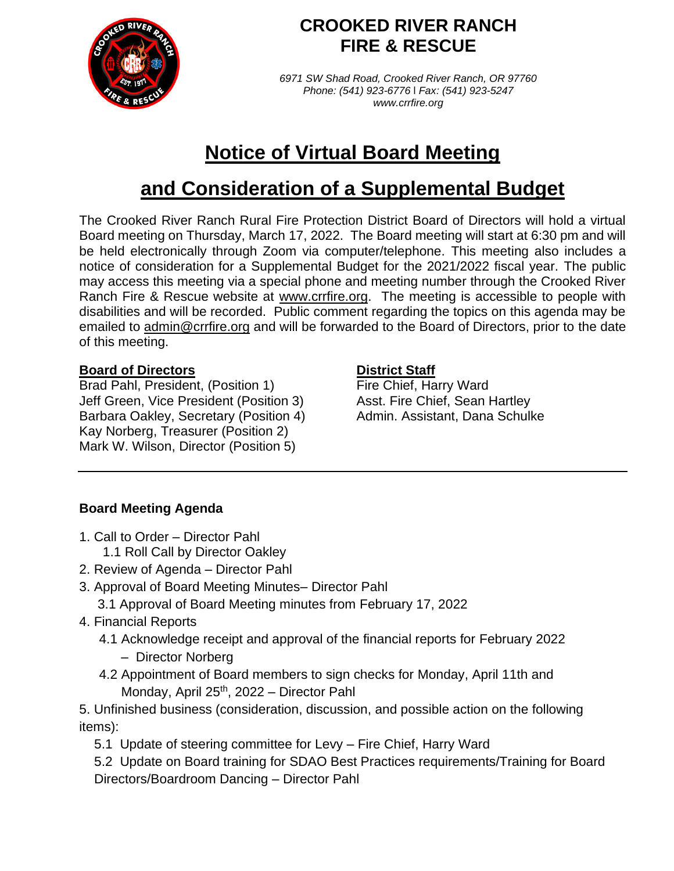

## **CROOKED RIVER RANCH FIRE & RESCUE**

*6971 SW Shad Road, Crooked River Ranch, OR 97760 Phone: (541) 923-6776* l *Fax: (541) 923-5247 www.crrfire.org*

# **Notice of Virtual Board Meeting**

## **and Consideration of a Supplemental Budget**

The Crooked River Ranch Rural Fire Protection District Board of Directors will hold a virtual Board meeting on Thursday, March 17, 2022. The Board meeting will start at 6:30 pm and will be held electronically through Zoom via computer/telephone. This meeting also includes a notice of consideration for a Supplemental Budget for the 2021/2022 fiscal year. The public may access this meeting via a special phone and meeting number through the Crooked River Ranch Fire & Rescue website at www.crrfire.org. The meeting is accessible to people with disabilities and will be recorded. Public comment regarding the topics on this agenda may be emailed to [admin@crrfire.org](mailto:admin@crrfire.org) and will be forwarded to the Board of Directors, prior to the date of this meeting.

#### **Board of Directors District Staff**

Brad Pahl, President, (Position 1) Fire Chief, Harry Ward Jeff Green, Vice President (Position 3) Asst. Fire Chief, Sean Hartley Barbara Oakley, Secretary (Position 4) Admin. Assistant, Dana Schulke Kay Norberg, Treasurer (Position 2) Mark W. Wilson, Director (Position 5)

### **Board Meeting Agenda**

- 1. Call to Order Director Pahl 1.1 Roll Call by Director Oakley
- 2. Review of Agenda Director Pahl
- 3. Approval of Board Meeting Minutes– Director Pahl
	- 3.1 Approval of Board Meeting minutes from February 17, 2022
- 4. Financial Reports
	- 4.1 Acknowledge receipt and approval of the financial reports for February 2022
		- Director Norberg
	- 4.2 Appointment of Board members to sign checks for Monday, April 11th and Monday, April 25<sup>th</sup>, 2022 – Director Pahl

5. Unfinished business (consideration, discussion, and possible action on the following items):

- 5.1 Update of steering committee for Levy Fire Chief, Harry Ward
- 5.2 Update on Board training for SDAO Best Practices requirements/Training for Board Directors/Boardroom Dancing – Director Pahl